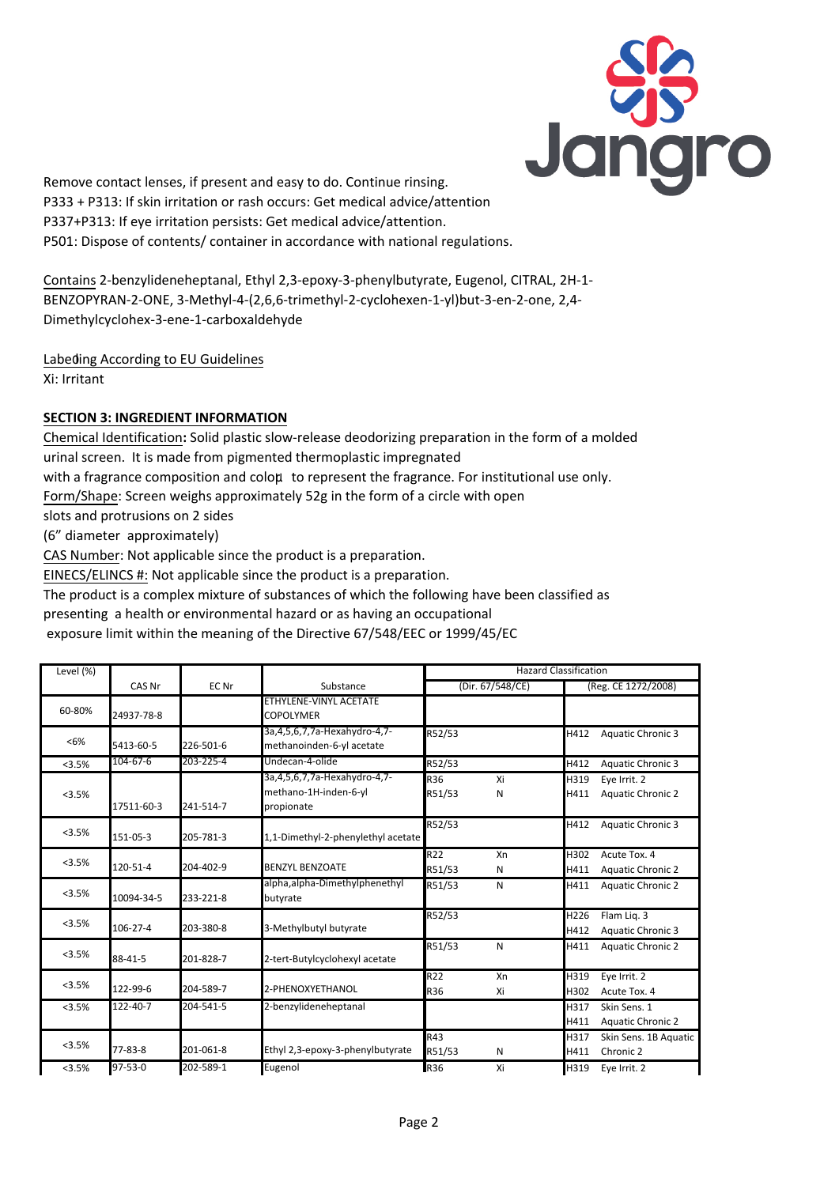

Remove contact lenses, if present and easy to do. Continue rinsing. P333 + P313: If skin irritation or rash occurs: Get medical advice/attention P337+P313: If eye irritation persists: Get medical advice/attention. P501: Dispose of contents/ container in accordance with national regulations.

Contains 2-benzylideneheptanal, Ethyl 2,3-epoxy-3-phenylbutyrate, Eugenol, CITRAL, 2H-1- BENZOPYRAN-2-ONE, 3-Methyl-4-(2,6,6-trimethyl-2-cyclohexen-1-yl)but-3-en-2-one, 2,4- Dimethylcyclohex-3-ene-1-carboxaldehyde

Labeding According to EU Guidelines Xi: Irritant

# **SECTION 3: INGREDIENT INFORMATION**

Chemical Identification**:** Solid plastic slow-release deodorizing preparation in the form of a molded urinal screen. It is made from pigmented thermoplastic impregnated with a fragrance composition and coloµ to represent the fragrance. For institutional use only.

Form/Shape: Screen weighs approximately 52g in the form of a circle with open

slots and protrusions on 2 sides

(6" diameter approximately)

CAS Number: Not applicable since the product is a preparation.

EINECS/ELINCS #: Not applicable since the product is a preparation.

The product is a complex mixture of substances of which the following have been classified as

presenting a health or environmental hazard or as having an occupational

exposure limit within the meaning of the Directive 67/548/EEC or 1999/45/EC

| Level (%) |               |           |                                                                                | <b>Hazard Classification</b> |          |                     |                                          |
|-----------|---------------|-----------|--------------------------------------------------------------------------------|------------------------------|----------|---------------------|------------------------------------------|
|           | CAS Nr        | EC Nr     | Substance                                                                      | (Dir. 67/548/CE)             |          | (Reg. CE 1272/2008) |                                          |
| 60-80%    | 24937-78-8    |           | ETHYLENE-VINYL ACETATE<br><b>COPOLYMER</b>                                     |                              |          |                     |                                          |
| < 6%      | 5413-60-5     | 226-501-6 | 3a, 4, 5, 6, 7, 7a - Hexahydro - 4, 7 -<br>methanoinden-6-yl acetate           | R52/53                       |          | H412                | <b>Aquatic Chronic 3</b>                 |
| < 3.5%    | 104-67-6      | 203-225-4 | Undecan-4-olide                                                                | R52/53                       |          | H412                | <b>Aquatic Chronic 3</b>                 |
| <3.5%     | 17511-60-3    | 241-514-7 | 3a, 4, 5, 6, 7, 7a - Hexahydro - 4, 7 -<br>methano-1H-inden-6-yl<br>propionate | R36<br>R51/53                | Xi<br>N  | H319<br>H411        | Eye Irrit. 2<br><b>Aquatic Chronic 2</b> |
| <3.5%     | 151-05-3      | 205-781-3 | 1,1-Dimethyl-2-phenylethyl acetate                                             | R52/53                       |          | H412                | <b>Aquatic Chronic 3</b>                 |
| <3.5%     | 120-51-4      | 204-402-9 | <b>BENZYL BENZOATE</b>                                                         | R22<br>R51/53                | Xn<br>Ν  | H302<br>H411        | Acute Tox. 4<br><b>Aquatic Chronic 2</b> |
| <3.5%     | 10094-34-5    | 233-221-8 | alpha, alpha-Dimethylphenethyl<br>butyrate                                     | R51/53                       | N        | H411                | <b>Aquatic Chronic 2</b>                 |
| <3.5%     | 106-27-4      | 203-380-8 | 3-Methylbutyl butyrate                                                         | R52/53                       |          | H226<br>H412        | Flam Lig. 3<br><b>Aquatic Chronic 3</b>  |
| <3.5%     | 88-41-5       | 201-828-7 | 2-tert-Butylcyclohexyl acetate                                                 | R51/53                       | N        | H411                | <b>Aquatic Chronic 2</b>                 |
| < 3.5%    | 122-99-6      | 204-589-7 | 2-PHENOXYETHANOL                                                               | R22<br>R36                   | Xn<br>Xi | H319<br>H302        | Eye Irrit. 2<br>Acute Tox. 4             |
| <3.5%     | 122-40-7      | 204-541-5 | 2-benzylideneheptanal                                                          |                              |          | H317<br>H411        | Skin Sens. 1<br><b>Aquatic Chronic 2</b> |
| <3.5%     | 77-83-8       | 201-061-8 | Ethyl 2,3-epoxy-3-phenylbutyrate                                               | R43<br>R51/53                | Ν        | H317<br>H411        | Skin Sens. 1B Aquatic<br>Chronic 2       |
| < 3.5%    | $97 - 53 - 0$ | 202-589-1 | Eugenol                                                                        | <b>R36</b>                   | Xi       | H319                | Eye Irrit. 2                             |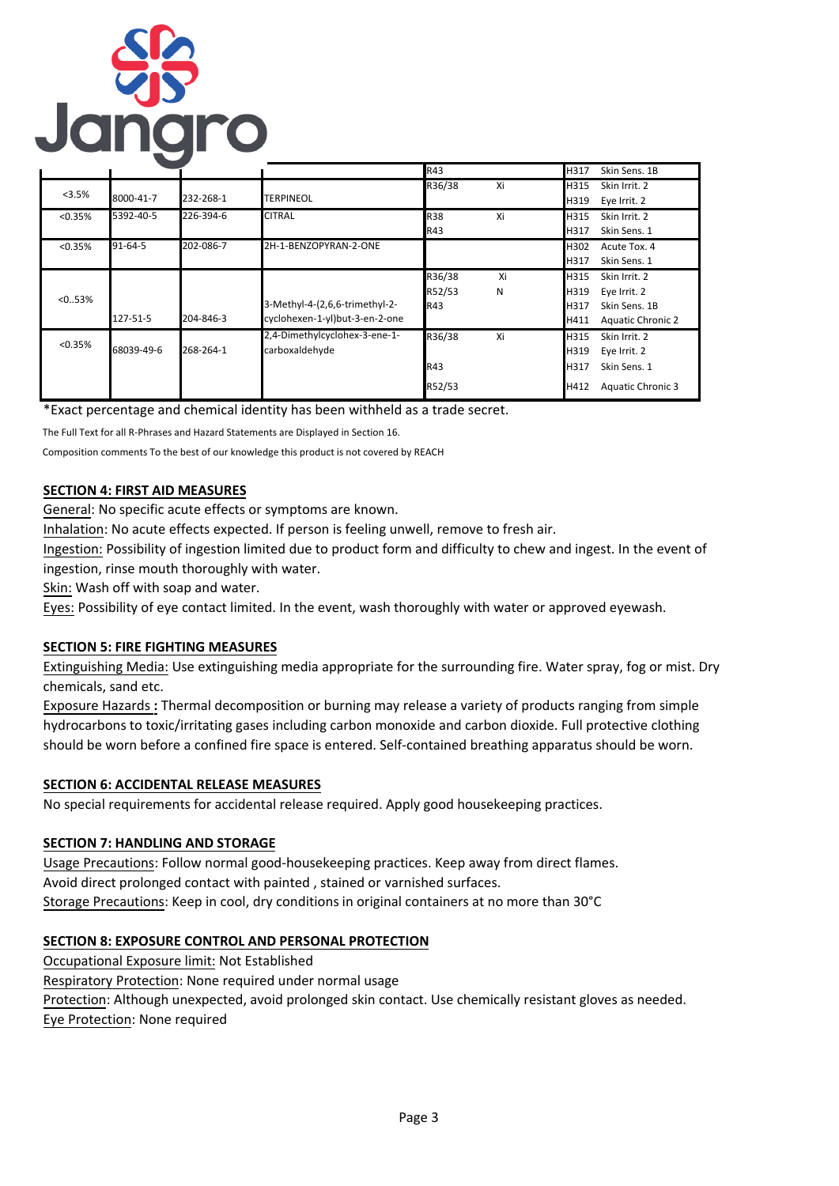

|          |            |           |                                                                  | R43                     |         | H317                         | Skin Sens. 1B                                                              |
|----------|------------|-----------|------------------------------------------------------------------|-------------------------|---------|------------------------------|----------------------------------------------------------------------------|
| <3.5%    | 8000-41-7  | 232-268-1 | <b>TERPINEOL</b>                                                 | R36/38                  | Xi      | H315<br>H319                 | Skin Irrit. 2<br>Eye Irrit. 2                                              |
| < 0.35%  | 5392-40-5  | 226-394-6 | <b>CITRAL</b>                                                    | <b>R38</b><br>R43       | Xi      | H315<br>H317                 | Skin Irrit. 2<br>Skin Sens. 1                                              |
| < 0.35%  | 91-64-5    | 202-086-7 | 2H-1-BENZOPYRAN-2-ONE                                            |                         |         | H302<br>H317                 | Acute Tox. 4<br>Skin Sens. 1                                               |
| < 0.053% | 127-51-5   | 204-846-3 | 3-Methyl-4-(2,6,6-trimethyl-2-<br>cyclohexen-1-yl)but-3-en-2-one | R36/38<br>R52/53<br>R43 | Xi<br>Ν | H315<br>H319<br>H317<br>H411 | Skin Irrit. 2<br>Eye Irrit. 2<br>Skin Sens. 1B<br><b>Aquatic Chronic 2</b> |
| < 0.35%  | 68039-49-6 | 268-264-1 | 2,4-Dimethylcyclohex-3-ene-1-<br>carboxaldehyde                  | R36/38<br>R43<br>R52/53 | Xi      | H315<br>H319<br>H317<br>H412 | Skin Irrit. 2<br>Eye Irrit. 2<br>Skin Sens. 1<br><b>Aquatic Chronic 3</b>  |

\*Exact percentage and chemical identity has been withheld as a trade secret.

The Full Text for all R-Phrases and Hazard Statements are Displayed in Section 16.

Composition comments To the best of our knowledge this product is not covered by REACH

# **SECTION 4: FIRST AID MEASURES**

General: No specific acute effects or symptoms are known.

Inhalation: No acute effects expected. If person is feeling unwell, remove to fresh air.

Ingestion: Possibility of ingestion limited due to product form and difficulty to chew and ingest. In the event of ingestion, rinse mouth thoroughly with water.

Skin: Wash off with soap and water.

Eyes: Possibility of eye contact limited. In the event, wash thoroughly with water or approved eyewash.

# **SECTION 5: FIRE FIGHTING MEASURES**

Extinguishing Media: Use extinguishing media appropriate for the surrounding fire. Water spray, fog or mist. Dry chemicals, sand etc.

Exposure Hazards **:** Thermal decomposition or burning may release a variety of products ranging from simple hydrocarbons to toxic/irritating gases including carbon monoxide and carbon dioxide. Full protective clothing should be worn before a confined fire space is entered. Self-contained breathing apparatus should be worn.

### **SECTION 6: ACCIDENTAL RELEASE MEASURES**

No special requirements for accidental release required. Apply good housekeeping practices.

# **SECTION 7: HANDLING AND STORAGE**

Usage Precautions: Follow normal good-housekeeping practices. Keep away from direct flames. Avoid direct prolonged contact with painted , stained or varnished surfaces. Storage Precautions: Keep in cool, dry conditions in original containers at no more than 30°C

# **SECTION 8: EXPOSURE CONTROL AND PERSONAL PROTECTION**

Occupational Exposure limit: Not Established

Respiratory Protection: None required under normal usage

Protection: Although unexpected, avoid prolonged skin contact. Use chemically resistant gloves as needed.

Eye Protection: None required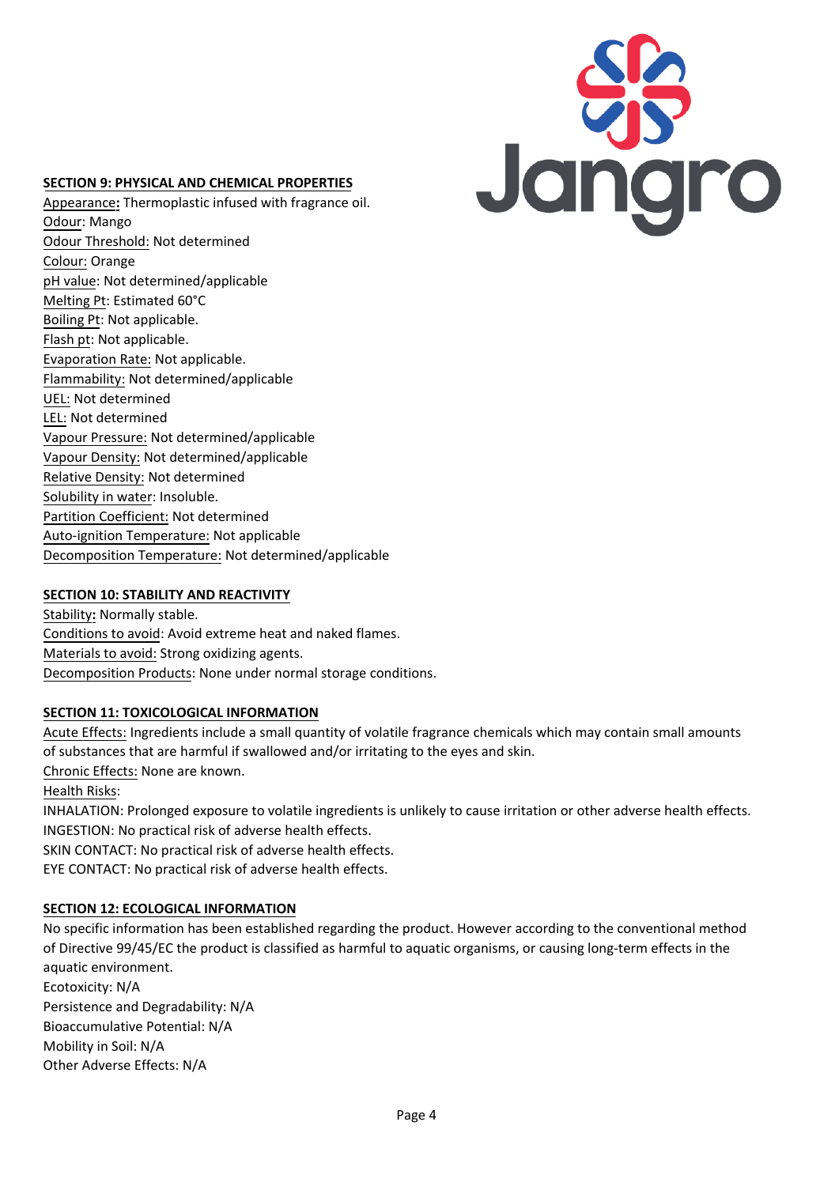# **SECTION 9: PHYSICAL AND CHEMICAL PROPERTIES**

Appearance**:** Thermoplastic infused with fragrance oil. Odour: Mango Odour Threshold: Not determined Colour: Orange pH value: Not determined/applicable Melting Pt: Estimated 60°C Boiling Pt: Not applicable. Flash pt: Not applicable. Evaporation Rate: Not applicable. Flammability: Not determined/applicable UEL: Not determined LEL: Not determined Vapour Pressure: Not determined/applicable Vapour Density: Not determined/applicable Relative Density: Not determined Solubility in water: Insoluble. Partition Coefficient: Not determined Auto-ignition Temperature: Not applicable Decomposition Temperature: Not determined/applicable

# Jangro

# **SECTION 10: STABILITY AND REACTIVITY**

Stability**:** Normally stable. Conditions to avoid: Avoid extreme heat and naked flames. Materials to avoid: Strong oxidizing agents. Decomposition Products: None under normal storage conditions.

# **SECTION 11: TOXICOLOGICAL INFORMATION**

Acute Effects: Ingredients include a small quantity of volatile fragrance chemicals which may contain small amounts of substances that are harmful if swallowed and/or irritating to the eyes and skin. Chronic Effects: None are known. Health Risks: INHALATION: Prolonged exposure to volatile ingredients is unlikely to cause irritation or other adverse health effects. INGESTION: No practical risk of adverse health effects. SKIN CONTACT: No practical risk of adverse health effects. EYE CONTACT: No practical risk of adverse health effects.

# **SECTION 12: ECOLOGICAL INFORMATION**

No specific information has been established regarding the product. However according to the conventional method of Directive 99/45/EC the product is classified as harmful to aquatic organisms, or causing long-term effects in the aquatic environment. Ecotoxicity: N/A Persistence and Degradability: N/A Bioaccumulative Potential: N/A Mobility in Soil: N/A Other Adverse Effects: N/A